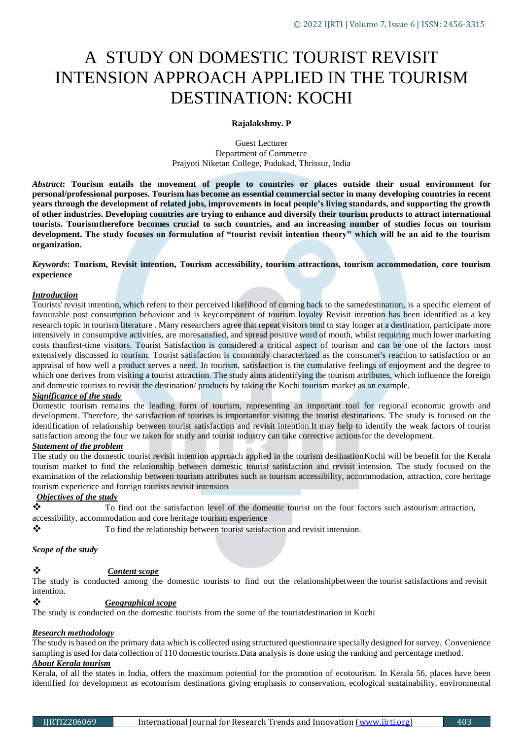# A STUDY ON DOMESTIC TOURIST REVISIT INTENSION APPROACH APPLIED IN THE TOURISM DESTINATION: KOCHI

#### **Rajalakshmy. P**

Guest Lecturer Department of Commerce Prajyoti Niketan College, Pudukad, Thrissur, India

*Abstract***: Tourism entails the movement of people to countries or places outside their usual environment for personal/professional purposes. Tourism has become an essential commercial sector in many developing countries in recent years through the development of related jobs, improvements in local people's living standards, and supporting the growth of other industries. Developing countries are trying to enhance and diversify their tourism products to attract international tourists. Tourismtherefore becomes crucial to such countries, and an increasing number of studies focus on tourism development. The study focuses on formulation of "tourist revisit intention theory" which will be an aid to the tourism organization.**

*Keywords***: Tourism, Revisit intention, Tourism accessibility, tourism attractions, tourism accommodation, core tourism experience**

#### *Introduction*

Tourists' revisit intention, which refers to their perceived likelihood of coming back to the samedestination, is a specific element of favourable post consumption behaviour and is keycomponent of tourism loyalty Revisit intention has been identified as a key research topic in tourism literature . Many researchers agree that repeat visitors tend to stay longer at a destination, participate more intensively in consumptive activities, are moresatisfied, and spread positive word of mouth, whilst requiring much lower marketing costs thanfirst-time visitors. Tourist Satisfaction is considered a critical aspect of tourism and can be one of the factors most extensively discussed in tourism. Tourist satisfaction is commonly characterized as the consumer's reaction to satisfaction or an appraisal of how well a product serves a need. In tourism, satisfaction is the cumulative feelings of enjoyment and the degree to which one derives from visiting a tourist attraction. The study aims atidentifying the tourism attributes, which influence the foreign and domestic tourists to revisit the destination/ products by taking the Kochi tourism market as an example.

#### *Significance of the study*

Domestic tourism remains the leading form of tourism, representing an important tool for regional economic growth and development. Therefore, the satisfaction of tourists is importantfor visiting the tourist destinations. The study is focused on the identification of relationship between tourist satisfaction and revisit intention.It may help to identify the weak factors of tourist satisfaction among the four we taken for study and tourist industry can take corrective actionsfor the development.

# *Statement of the problem*

The study on the domestic tourist revisit intention approach applied in the tourism destinationKochi will be benefit for the Kerala tourism market to find the relationship between domestic tourist satisfaction and revisit intension. The study focused on the examination of the relationship between tourism attributes such as tourism accessibility, accommodation, attraction, core heritage tourism experience and foreign tourists revisit intension

#### *Objectives of the study*

 $\bullet$  To find out the satisfaction level of the domestic tourist on the four factors such astourism attraction, accessibility, accommodation and core heritage tourism experience

\* To find the relationship between tourist satisfaction and revisit intension.

#### *Scope of the study*

# *Content scope*

The study is conducted among the domestic tourists to find out the relationshipbetween the tourist satisfactions and revisit intention.

*Geographical scope*

The study is conducted on the domestic tourists from the some of the touristdestination in Kochi

#### *Research methodology*

The study is based on the primary data which is collected using structured questionnaire specially designed for survey. Convenience sampling is used for data collection of 110 domestic tourists.Data analysis is done using the ranking and percentage method. *About Kerala tourism*

Kerala, of all the states in India, offers the maximum potential for the promotion of ecotourism. In Kerala 56, places have been identified for development as ecotourism destinations giving emphasis to conservation, ecological sustainability, environmental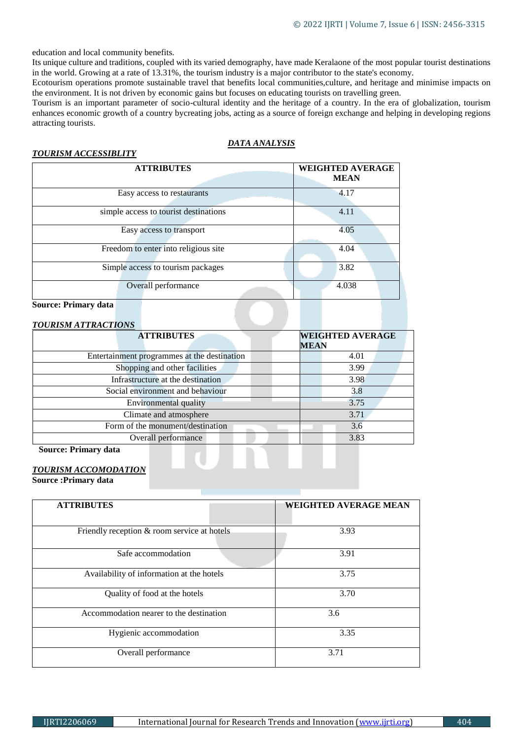education and local community benefits.

Its unique culture and traditions, coupled with its varied demography, have made Keralaone of the most popular tourist destinations in the world. Growing at a rate of 13.31%, the tourism industry is a major contributor to the state's economy.

Ecotourism operations promote sustainable travel that benefits local communities,culture, and heritage and minimise impacts on the environment. It is not driven by economic gains but focuses on educating tourists on travelling green.

Tourism is an important parameter of socio-cultural identity and the heritage of a country. In the era of globalization, tourism enhances economic growth of a country bycreating jobs, acting as a source of foreign exchange and helping in developing regions attracting tourists.

## *DATA ANALYSIS*

#### *TOURISM ACCESSIBLITY*

| <b>ATTRIBUTES</b>                     | <b>WEIGHTED AVERAGE</b> |
|---------------------------------------|-------------------------|
|                                       | <b>MEAN</b>             |
| Easy access to restaurants            | 4.17                    |
| simple access to tourist destinations | 4.11                    |
| Easy access to transport              | 4.05                    |
| Freedom to enter into religious site  | 4.04                    |
| Simple access to tourism packages     | 3.82                    |
| Overall performance                   | 4.038                   |

#### **Source: Primary data**

| <b>TOURISM ATTRACTIONS</b>                  |                         |  |
|---------------------------------------------|-------------------------|--|
| <b>ATTRIBUTES</b>                           | <b>WEIGHTED AVERAGE</b> |  |
|                                             | <b>MEAN</b>             |  |
| Entertainment programmes at the destination | 4.01                    |  |
| Shopping and other facilities               | 3.99                    |  |
| Infrastructure at the destination           | 3.98                    |  |
| Social environment and behaviour            | 3.8                     |  |
| <b>Environmental quality</b>                | 3.75                    |  |
| Climate and atmosphere                      | 3.71                    |  |
| Form of the monument/destination            | 3.6                     |  |
| Overall performance                         | 3.83                    |  |
|                                             |                         |  |

**Source: Primary data**

### *TOURISM ACCOMODATION*

**Source :Primary data**

| <b>ATTRIBUTES</b>                           | <b>WEIGHTED AVERAGE MEAN</b> |  |
|---------------------------------------------|------------------------------|--|
| Friendly reception & room service at hotels | 3.93                         |  |
| Safe accommodation                          | 3.91                         |  |
| Availability of information at the hotels   | 3.75                         |  |
| Quality of food at the hotels               | 3.70                         |  |
| Accommodation nearer to the destination     | 3.6                          |  |
| Hygienic accommodation                      | 3.35                         |  |
| Overall performance                         | 3.71                         |  |